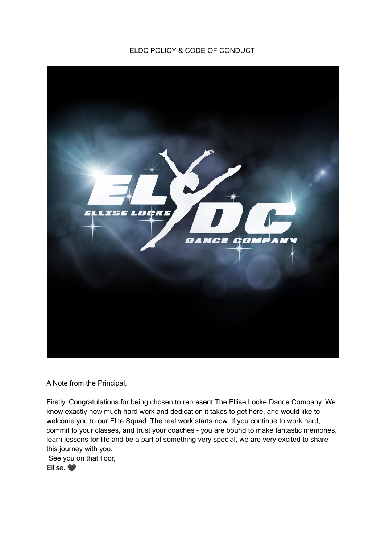## ELDC POLICY & CODE OF CONDUCT



A Note from the Principal,

Firstly, Congratulations for being chosen to represent The Ellise Locke Dance Company. We know exactly how much hard work and dedication it takes to get here, and would like to welcome you to our Elite Squad. The real work starts now. If you continue to work hard, commit to your classes, and trust your coaches - you are bound to make fantastic memories, learn lessons for life and be a part of something very special, we are very excited to share this journey with you.

See you on that floor,

Ellise.  $\bullet$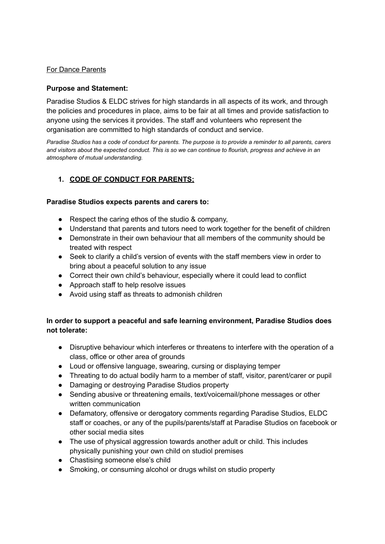### For Dance Parents

#### **Purpose and Statement:**

Paradise Studios & ELDC strives for high standards in all aspects of its work, and through the policies and procedures in place, aims to be fair at all times and provide satisfaction to anyone using the services it provides. The staff and volunteers who represent the organisation are committed to high standards of conduct and service.

*Paradise Studios has a code of conduct for parents. The purpose is to provide a reminder to all parents, carers and visitors about the expected conduct. This is so we can continue to flourish, progress and achieve in an atmosphere of mutual understanding.*

## **1. CODE OF CONDUCT FOR PARENTS;**

#### **Paradise Studios expects parents and carers to:**

- Respect the caring ethos of the studio & company,
- Understand that parents and tutors need to work together for the benefit of children
- Demonstrate in their own behaviour that all members of the community should be treated with respect
- Seek to clarify a child's version of events with the staff members view in order to bring about a peaceful solution to any issue
- Correct their own child's behaviour, especially where it could lead to conflict
- Approach staff to help resolve issues
- Avoid using staff as threats to admonish children

### **In order to support a peaceful and safe learning environment, Paradise Studios does not tolerate:**

- Disruptive behaviour which interferes or threatens to interfere with the operation of a class, office or other area of grounds
- Loud or offensive language, swearing, cursing or displaying temper
- Threating to do actual bodily harm to a member of staff, visitor, parent/carer or pupil
- Damaging or destroying Paradise Studios property
- Sending abusive or threatening emails, text/voicemail/phone messages or other written communication
- Defamatory, offensive or derogatory comments regarding Paradise Studios, ELDC staff or coaches, or any of the pupils/parents/staff at Paradise Studios on facebook or other social media sites
- The use of physical aggression towards another adult or child. This includes physically punishing your own child on studiol premises
- Chastising someone else's child
- Smoking, or consuming alcohol or drugs whilst on studio property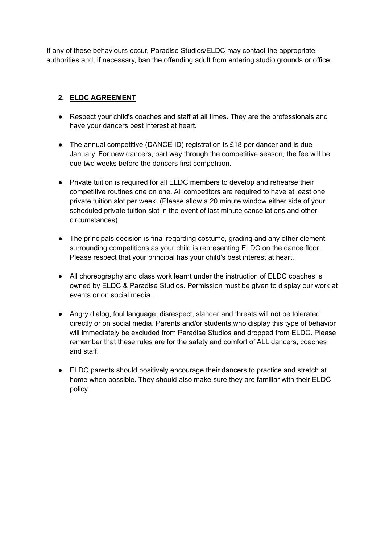If any of these behaviours occur, Paradise Studios/ELDC may contact the appropriate authorities and, if necessary, ban the offending adult from entering studio grounds or office.

## **2. ELDC AGREEMENT**

- Respect your child's coaches and staff at all times. They are the professionals and have your dancers best interest at heart.
- The annual competitive (DANCE ID) registration is £18 per dancer and is due January. For new dancers, part way through the competitive season, the fee will be due two weeks before the dancers first competition.
- Private tuition is required for all ELDC members to develop and rehearse their competitive routines one on one. All competitors are required to have at least one private tuition slot per week. (Please allow a 20 minute window either side of your scheduled private tuition slot in the event of last minute cancellations and other circumstances).
- The principals decision is final regarding costume, grading and any other element surrounding competitions as your child is representing ELDC on the dance floor. Please respect that your principal has your child's best interest at heart.
- All choreography and class work learnt under the instruction of ELDC coaches is owned by ELDC & Paradise Studios. Permission must be given to display our work at events or on social media.
- Angry dialog, foul language, disrespect, slander and threats will not be tolerated directly or on social media. Parents and/or students who display this type of behavior will immediately be excluded from Paradise Studios and dropped from ELDC. Please remember that these rules are for the safety and comfort of ALL dancers, coaches and staff.
- ELDC parents should positively encourage their dancers to practice and stretch at home when possible. They should also make sure they are familiar with their ELDC policy.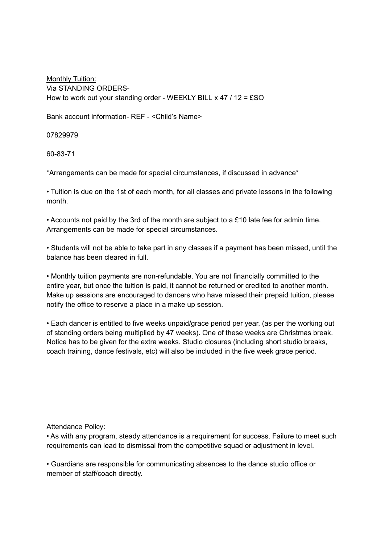Monthly Tuition: Via STANDING ORDERS-How to work out your standing order - WEEKLY BILL x 47 / 12 = £SO

Bank account information- REF - <Child's Name>

07829979

60-83-71

\*Arrangements can be made for special circumstances, if discussed in advance\*

• Tuition is due on the 1st of each month, for all classes and private lessons in the following month.

• Accounts not paid by the 3rd of the month are subject to a £10 late fee for admin time. Arrangements can be made for special circumstances.

• Students will not be able to take part in any classes if a payment has been missed, until the balance has been cleared in full.

• Monthly tuition payments are non-refundable. You are not financially committed to the entire year, but once the tuition is paid, it cannot be returned or credited to another month. Make up sessions are encouraged to dancers who have missed their prepaid tuition, please notify the office to reserve a place in a make up session.

• Each dancer is entitled to five weeks unpaid/grace period per year, (as per the working out of standing orders being multiplied by 47 weeks). One of these weeks are Christmas break. Notice has to be given for the extra weeks. Studio closures (including short studio breaks, coach training, dance festivals, etc) will also be included in the five week grace period.

Attendance Policy:

• As with any program, steady attendance is a requirement for success. Failure to meet such requirements can lead to dismissal from the competitive squad or adjustment in level.

• Guardians are responsible for communicating absences to the dance studio office or member of staff/coach directly.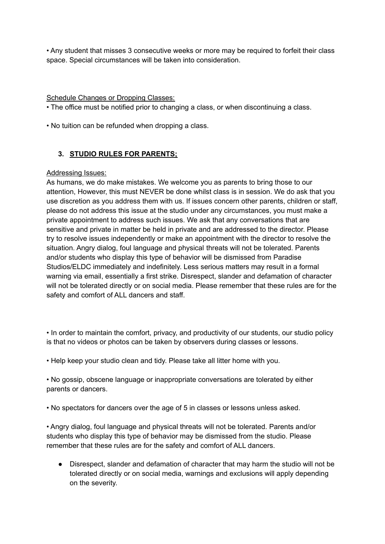• Any student that misses 3 consecutive weeks or more may be required to forfeit their class space. Special circumstances will be taken into consideration.

Schedule Changes or Dropping Classes:

• The office must be notified prior to changing a class, or when discontinuing a class.

• No tuition can be refunded when dropping a class.

## **3. STUDIO RULES FOR PARENTS;**

#### Addressing Issues:

As humans, we do make mistakes. We welcome you as parents to bring those to our attention, However, this must NEVER be done whilst class is in session. We do ask that you use discretion as you address them with us. If issues concern other parents, children or staff, please do not address this issue at the studio under any circumstances, you must make a private appointment to address such issues. We ask that any conversations that are sensitive and private in matter be held in private and are addressed to the director. Please try to resolve issues independently or make an appointment with the director to resolve the situation. Angry dialog, foul language and physical threats will not be tolerated. Parents and/or students who display this type of behavior will be dismissed from Paradise Studios/ELDC immediately and indefinitely. Less serious matters may result in a formal warning via email, essentially a first strike. Disrespect, slander and defamation of character will not be tolerated directly or on social media. Please remember that these rules are for the safety and comfort of ALL dancers and staff.

• In order to maintain the comfort, privacy, and productivity of our students, our studio policy is that no videos or photos can be taken by observers during classes or lessons.

• Help keep your studio clean and tidy. Please take all litter home with you.

• No gossip, obscene language or inappropriate conversations are tolerated by either parents or dancers.

• No spectators for dancers over the age of 5 in classes or lessons unless asked.

• Angry dialog, foul language and physical threats will not be tolerated. Parents and/or students who display this type of behavior may be dismissed from the studio. Please remember that these rules are for the safety and comfort of ALL dancers.

● Disrespect, slander and defamation of character that may harm the studio will not be tolerated directly or on social media, warnings and exclusions will apply depending on the severity.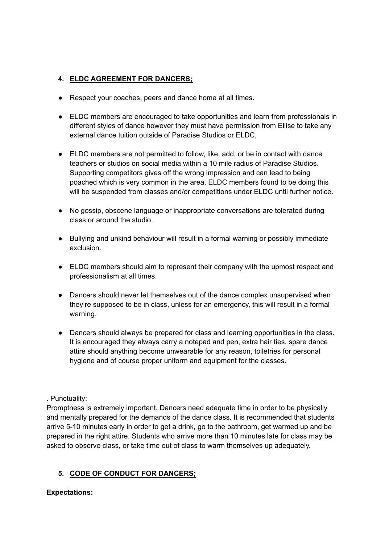## **4. ELDC AGREEMENT FOR DANCERS;**

- Respect your coaches, peers and dance home at all times.
- ELDC members are encouraged to take opportunities and learn from professionals in different styles of dance however they must have permission from Ellise to take any external dance tuition outside of Paradise Studios or ELDC,
- ELDC members are not permitted to follow, like, add, or be in contact with dance teachers or studios on social media within a 10 mile radius of Paradise Studios. Supporting competitors gives off the wrong impression and can lead to being poached which is very common in the area. ELDC members found to be doing this will be suspended from classes and/or competitions under ELDC until further notice.
- No gossip, obscene language or inappropriate conversations are tolerated during class or around the studio.
- Bullying and unkind behaviour will result in a formal warning or possibly immediate exclusion.
- ELDC members should aim to represent their company with the upmost respect and professionalism at all times.
- Dancers should never let themselves out of the dance complex unsupervised when they're supposed to be in class, unless for an emergency, this will result in a formal warning.
- Dancers should always be prepared for class and learning opportunities in the class. It is encouraged they always carry a notepad and pen, extra hair ties, spare dance attire should anything become unwearable for any reason, toiletries for personal hygiene and of course proper uniform and equipment for the classes.

### . Punctuality:

Promptness is extremely important. Dancers need adequate time in order to be physically and mentally prepared for the demands of the dance class. It is recommended that students arrive 5-10 minutes early in order to get a drink, go to the bathroom, get warmed up and be prepared in the right attire. Students who arrive more than 10 minutes late for class may be asked to observe class, or take time out of class to warm themselves up adequately.

# **5. CODE OF CONDUCT FOR DANCERS;**

### **Expectations:**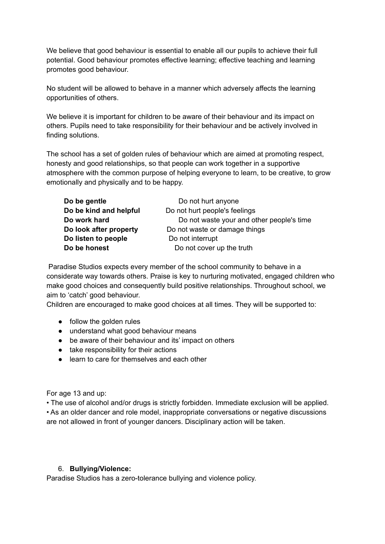We believe that good behaviour is essential to enable all our pupils to achieve their full potential. Good behaviour promotes effective learning; effective teaching and learning promotes good behaviour.

No student will be allowed to behave in a manner which adversely affects the learning opportunities of others.

We believe it is important for children to be aware of their behaviour and its impact on others. Pupils need to take responsibility for their behaviour and be actively involved in finding solutions.

The school has a set of golden rules of behaviour which are aimed at promoting respect, honesty and good relationships, so that people can work together in a supportive atmosphere with the common purpose of helping everyone to learn, to be creative, to grow emotionally and physically and to be happy.

| Do be gentle           | Do not hurt anyone                        |
|------------------------|-------------------------------------------|
| Do be kind and helpful | Do not hurt people's feelings             |
| Do work hard           | Do not waste your and other people's time |
| Do look after property | Do not waste or damage things             |
| Do listen to people    | Do not interrupt                          |
| Do be honest           | Do not cover up the truth                 |

Paradise Studios expects every member of the school community to behave in a considerate way towards others. Praise is key to nurturing motivated, engaged children who make good choices and consequently build positive relationships. Throughout school, we aim to 'catch' good behaviour.

Children are encouraged to make good choices at all times. They will be supported to:

- follow the golden rules
- understand what good behaviour means
- be aware of their behaviour and its' impact on others
- take responsibility for their actions
- learn to care for themselves and each other

For age 13 and up:

• The use of alcohol and/or drugs is strictly forbidden. Immediate exclusion will be applied. • As an older dancer and role model, inappropriate conversations or negative discussions are not allowed in front of younger dancers. Disciplinary action will be taken.

#### 6. **Bullying/Violence:**

Paradise Studios has a zero-tolerance bullying and violence policy.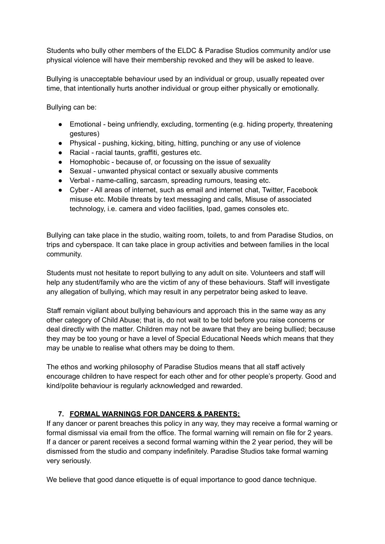Students who bully other members of the ELDC & Paradise Studios community and/or use physical violence will have their membership revoked and they will be asked to leave.

Bullying is unacceptable behaviour used by an individual or group, usually repeated over time, that intentionally hurts another individual or group either physically or emotionally.

Bullying can be:

- Emotional being unfriendly, excluding, tormenting (e.g. hiding property, threatening gestures)
- Physical pushing, kicking, biting, hitting, punching or any use of violence
- Racial racial taunts, graffiti, gestures etc.
- Homophobic because of, or focussing on the issue of sexuality
- Sexual unwanted physical contact or sexually abusive comments
- Verbal name-calling, sarcasm, spreading rumours, teasing etc.
- Cyber All areas of internet, such as email and internet chat, Twitter, Facebook misuse etc. Mobile threats by text messaging and calls, Misuse of associated technology, i.e. camera and video facilities, Ipad, games consoles etc.

Bullying can take place in the studio, waiting room, toilets, to and from Paradise Studios, on trips and cyberspace. It can take place in group activities and between families in the local community.

Students must not hesitate to report bullying to any adult on site. Volunteers and staff will help any student/family who are the victim of any of these behaviours. Staff will investigate any allegation of bullying, which may result in any perpetrator being asked to leave.

Staff remain vigilant about bullying behaviours and approach this in the same way as any other category of Child Abuse; that is, do not wait to be told before you raise concerns or deal directly with the matter. Children may not be aware that they are being bullied; because they may be too young or have a level of Special Educational Needs which means that they may be unable to realise what others may be doing to them.

The ethos and working philosophy of Paradise Studios means that all staff actively encourage children to have respect for each other and for other people's property. Good and kind/polite behaviour is regularly acknowledged and rewarded.

### **7. FORMAL WARNINGS FOR DANCERS & PARENTS;**

If any dancer or parent breaches this policy in any way, they may receive a formal warning or formal dismissal via email from the office. The formal warning will remain on file for 2 years. If a dancer or parent receives a second formal warning within the 2 year period, they will be dismissed from the studio and company indefinitely. Paradise Studios take formal warning very seriously.

We believe that good dance etiquette is of equal importance to good dance technique.